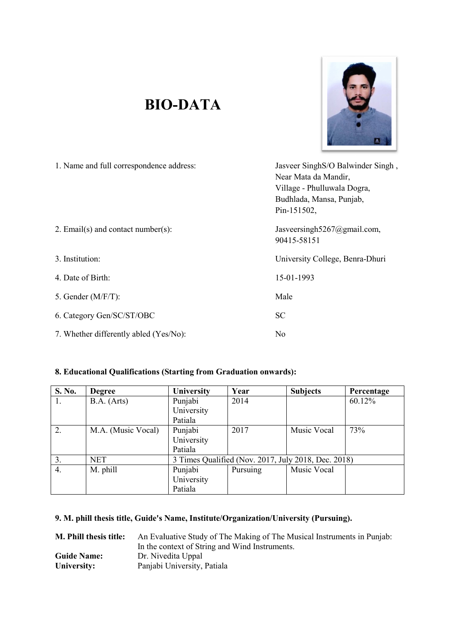## **BIO BIO-DATA**



| 1. Name and full correspondence address: | Jasveer SinghS/O Balwinder Singh,<br>Near Mata da Mandir,<br>Village - Phulluwala Dogra,<br>Budhlada, Mansa, Punjab,<br>Pin-151502, |
|------------------------------------------|-------------------------------------------------------------------------------------------------------------------------------------|
| 2. Email(s) and contact number(s):       | Jasveersingh5267@gmail.com,<br>90415-58151                                                                                          |
| 3. Institution:                          | University College, Benra-Dhuri                                                                                                     |
| 4. Date of Birth:                        | 15-01-1993                                                                                                                          |
| 5. Gender $(M/F/T)$ :                    | Male                                                                                                                                |
| 6. Category Gen/SC/ST/OBC                | <b>SC</b>                                                                                                                           |
| 7. Whether differently abled (Yes/No):   | No                                                                                                                                  |

| 8. Educational Qualifications (Starting from Graduation onwards): |                    |                                                     |          |                 |            |  |  |
|-------------------------------------------------------------------|--------------------|-----------------------------------------------------|----------|-----------------|------------|--|--|
| <b>S. No.</b>                                                     | <b>Degree</b>      | University                                          | Year     | <b>Subjects</b> | Percentage |  |  |
| 1.                                                                | B.A. (Arts)        | Punjabi                                             | 2014     |                 | 60.12%     |  |  |
|                                                                   |                    | University                                          |          |                 |            |  |  |
|                                                                   |                    | Patiala                                             |          |                 |            |  |  |
| 2.                                                                | M.A. (Music Vocal) | Punjabi                                             | 2017     | Music Vocal     | 73%        |  |  |
|                                                                   |                    | University                                          |          |                 |            |  |  |
|                                                                   |                    | Patiala                                             |          |                 |            |  |  |
| 3.                                                                | <b>NET</b>         | 3 Times Qualified (Nov. 2017, July 2018, Dec. 2018) |          |                 |            |  |  |
| $\overline{4}$ .                                                  | M. phill           | Punjabi                                             | Pursuing | Music Vocal     |            |  |  |
|                                                                   |                    | University                                          |          |                 |            |  |  |
|                                                                   |                    | Patiala                                             |          |                 |            |  |  |

## 9. M. phill thesis title, Guide's Name, Institute/Organization/University (Pursuing).

| M. Phill thesis title: | An Evaluative Study of The Making of The Musical Instruments in Punjab: |
|------------------------|-------------------------------------------------------------------------|
|                        | In the context of String and Wind Instruments.                          |
| <b>Guide Name:</b>     | Dr. Nivedita Uppal                                                      |
| University:            | Panjabi University, Patiala                                             |